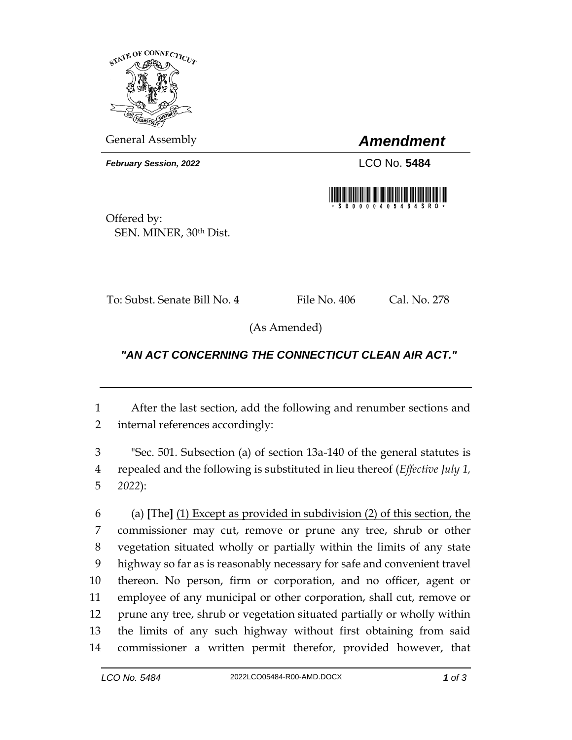

General Assembly *Amendment*

*February Session, 2022* LCO No. 5484



Offered by: SEN. MINER, 30th Dist.

To: Subst. Senate Bill No. 4 File No. 406 Cal. No. 278

(As Amended)

## *"AN ACT CONCERNING THE CONNECTICUT CLEAN AIR ACT."*

 After the last section, add the following and renumber sections and internal references accordingly:

 "Sec. 501. Subsection (a) of section 13a-140 of the general statutes is repealed and the following is substituted in lieu thereof (*Effective July 1, 2022*):

 (a) **[**The**]** (1) Except as provided in subdivision (2) of this section, the commissioner may cut, remove or prune any tree, shrub or other vegetation situated wholly or partially within the limits of any state highway so far as is reasonably necessary for safe and convenient travel thereon. No person, firm or corporation, and no officer, agent or employee of any municipal or other corporation, shall cut, remove or prune any tree, shrub or vegetation situated partially or wholly within the limits of any such highway without first obtaining from said commissioner a written permit therefor, provided however, that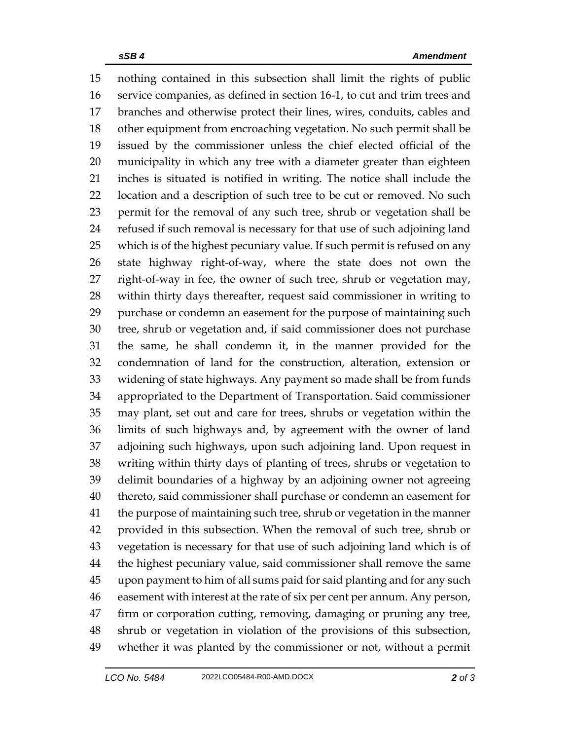nothing contained in this subsection shall limit the rights of public service companies, as defined in section 16-1, to cut and trim trees and branches and otherwise protect their lines, wires, conduits, cables and other equipment from encroaching vegetation. No such permit shall be issued by the commissioner unless the chief elected official of the municipality in which any tree with a diameter greater than eighteen inches is situated is notified in writing. The notice shall include the location and a description of such tree to be cut or removed. No such permit for the removal of any such tree, shrub or vegetation shall be refused if such removal is necessary for that use of such adjoining land which is of the highest pecuniary value. If such permit is refused on any state highway right-of-way, where the state does not own the right-of-way in fee, the owner of such tree, shrub or vegetation may, within thirty days thereafter, request said commissioner in writing to purchase or condemn an easement for the purpose of maintaining such tree, shrub or vegetation and, if said commissioner does not purchase the same, he shall condemn it, in the manner provided for the condemnation of land for the construction, alteration, extension or widening of state highways. Any payment so made shall be from funds appropriated to the Department of Transportation. Said commissioner may plant, set out and care for trees, shrubs or vegetation within the limits of such highways and, by agreement with the owner of land adjoining such highways, upon such adjoining land. Upon request in writing within thirty days of planting of trees, shrubs or vegetation to delimit boundaries of a highway by an adjoining owner not agreeing thereto, said commissioner shall purchase or condemn an easement for the purpose of maintaining such tree, shrub or vegetation in the manner provided in this subsection. When the removal of such tree, shrub or vegetation is necessary for that use of such adjoining land which is of the highest pecuniary value, said commissioner shall remove the same upon payment to him of all sums paid for said planting and for any such easement with interest at the rate of six per cent per annum. Any person, firm or corporation cutting, removing, damaging or pruning any tree, shrub or vegetation in violation of the provisions of this subsection, whether it was planted by the commissioner or not, without a permit